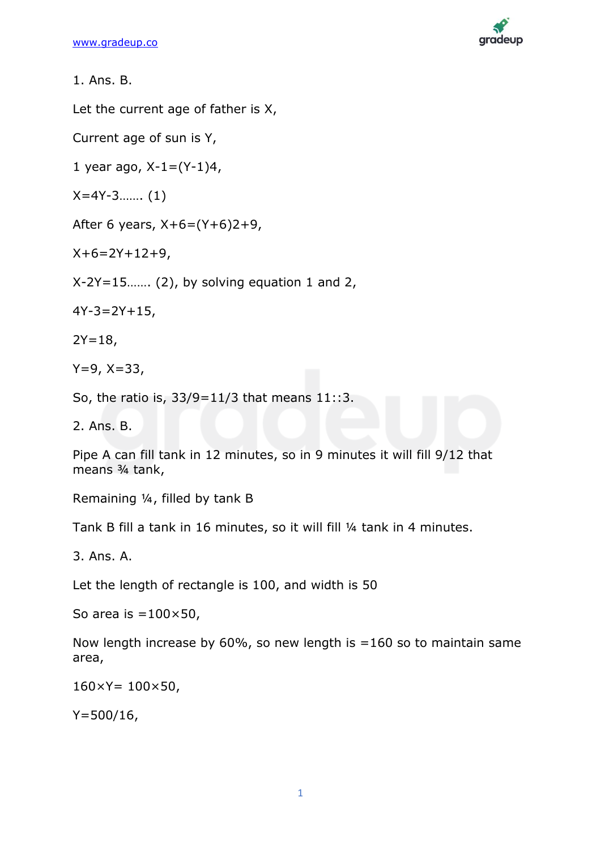

Let the current age of father is X,

Current age of sun is Y,

1 year ago,  $X-1=(Y-1)4$ ,

X=4Y-3……. (1)

After 6 years,  $X+6=(Y+6)2+9$ ,

 $X+6=2Y+12+9$ ,

 $X-2Y=15$ ....... (2), by solving equation 1 and 2,

 $4Y-3=2Y+15$ ,

 $2Y=18$ ,

 $Y=9, X=33,$ 

So, the ratio is, 33/9=11/3 that means 11::3.

2. Ans. B.

Pipe A can fill tank in 12 minutes, so in 9 minutes it will fill 9/12 that means ¾ tank,

Remaining ¼, filled by tank B

Tank B fill a tank in 16 minutes, so it will fill ¼ tank in 4 minutes.

3. Ans. A.

Let the length of rectangle is 100, and width is 50

So area is  $=100\times50$ ,

Now length increase by 60%, so new length is =160 so to maintain same area,

 $160 \times Y = 100 \times 50$ ,

 $Y = 500/16$ ,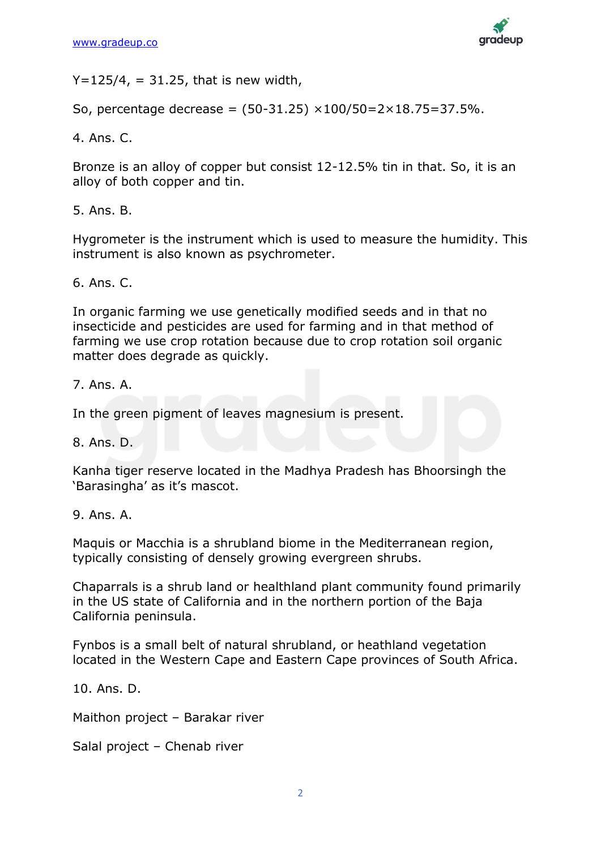

 $Y=125/4$ , = 31.25, that is new width,

So, percentage decrease =  $(50-31.25) \times 100/50=2\times 18.75=37.5\%$ .

4. Ans. C.

Bronze is an alloy of copper but consist 12-12.5% tin in that. So, it is an alloy of both copper and tin.

5. Ans. B.

Hygrometer is the instrument which is used to measure the humidity. This instrument is also known as psychrometer.

6. Ans. C.

In organic farming we use genetically modified seeds and in that no insecticide and pesticides are used for farming and in that method of farming we use crop rotation because due to crop rotation soil organic matter does degrade as quickly.

7. Ans. A.

In the green pigment of leaves magnesium is present.

8. Ans. D.

Kanha tiger reserve located in the Madhya Pradesh has Bhoorsingh the 'Barasingha' as it's mascot.

9. Ans. A.

Maquis or Macchia is a shrubland biome in the Mediterranean region, typically consisting of densely growing evergreen shrubs.

Chaparrals is a shrub land or healthland plant community found primarily in the US state of California and in the northern portion of the Baja California peninsula.

Fynbos is a small belt of natural shrubland, or heathland vegetation located in the Western Cape and Eastern Cape provinces of South Africa.

10. Ans. D.

Maithon project – Barakar river

Salal project – Chenab river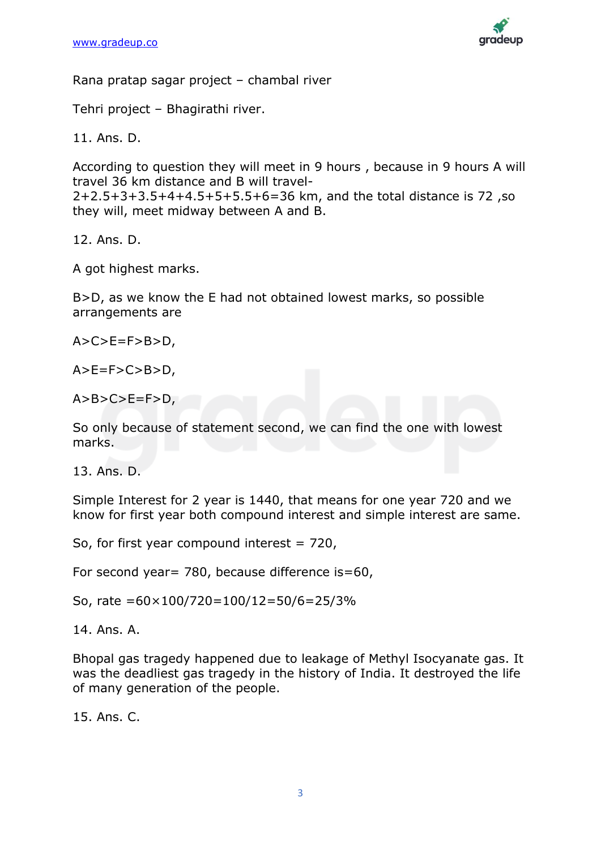

Rana pratap sagar project – chambal river

Tehri project – Bhagirathi river.

11. Ans. D.

According to question they will meet in 9 hours , because in 9 hours A will travel 36 km distance and B will travel-2+2.5+3+3.5+4+4.5+5+5.5+6=36 km, and the total distance is 72 ,so they will, meet midway between A and B.

12. Ans. D.

A got highest marks.

B>D, as we know the E had not obtained lowest marks, so possible arrangements are

 $A > C > E = F > B > D$ ,

 $A > E = F > C > B > D$ 

 $A>B>C>E=F>D$ ,

So only because of statement second, we can find the one with lowest marks.

13. Ans. D.

Simple Interest for 2 year is 1440, that means for one year 720 and we know for first year both compound interest and simple interest are same.

So, for first year compound interest = 720,

For second year= 780, because difference is=60,

So, rate =60×100/720=100/12=50/6=25/3%

14. Ans. A.

Bhopal gas tragedy happened due to leakage of Methyl Isocyanate gas. It was the deadliest gas tragedy in the history of India. It destroyed the life of many generation of the people.

15. Ans. C.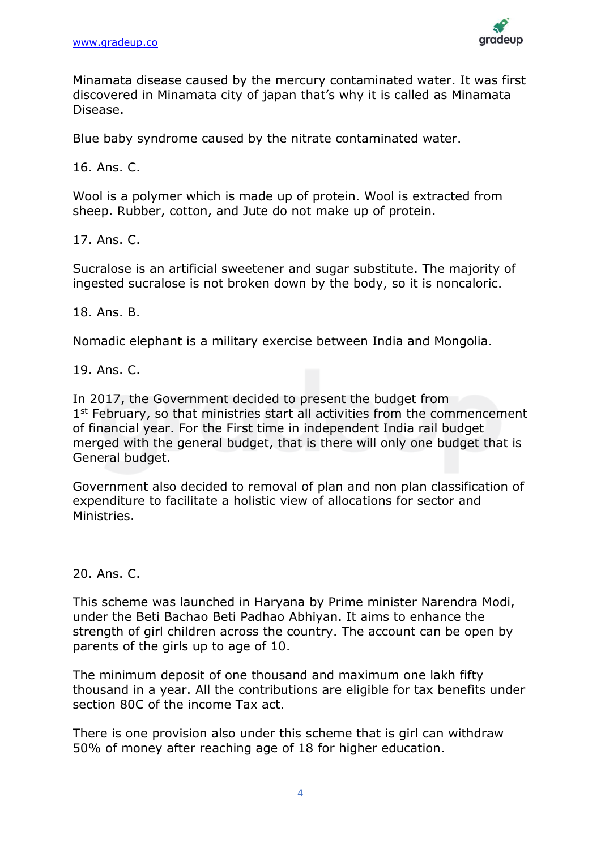

Minamata disease caused by the mercury contaminated water. It was first discovered in Minamata city of japan that's why it is called as Minamata Disease.

Blue baby syndrome caused by the nitrate contaminated water.

16. Ans. C.

Wool is a polymer which is made up of protein. Wool is extracted from sheep. Rubber, cotton, and Jute do not make up of protein.

17. Ans. C.

Sucralose is an artificial sweetener and sugar substitute. The majority of ingested sucralose is not broken down by the body, so it is noncaloric.

18. Ans. B.

Nomadic elephant is a military exercise between India and Mongolia.

19. Ans. C.

In 2017, the Government decided to present the budget from 1<sup>st</sup> February, so that ministries start all activities from the commencement of financial year. For the First time in independent India rail budget merged with the general budget, that is there will only one budget that is General budget.

Government also decided to removal of plan and non plan classification of expenditure to facilitate a holistic view of allocations for sector and Ministries.

20. Ans. C.

This scheme was launched in Haryana by Prime minister Narendra Modi, under the Beti Bachao Beti Padhao Abhiyan. It aims to enhance the strength of girl children across the country. The account can be open by parents of the girls up to age of 10.

The minimum deposit of one thousand and maximum one lakh fifty thousand in a year. All the contributions are eligible for tax benefits under section 80C of the income Tax act.

There is one provision also under this scheme that is girl can withdraw 50% of money after reaching age of 18 for higher education.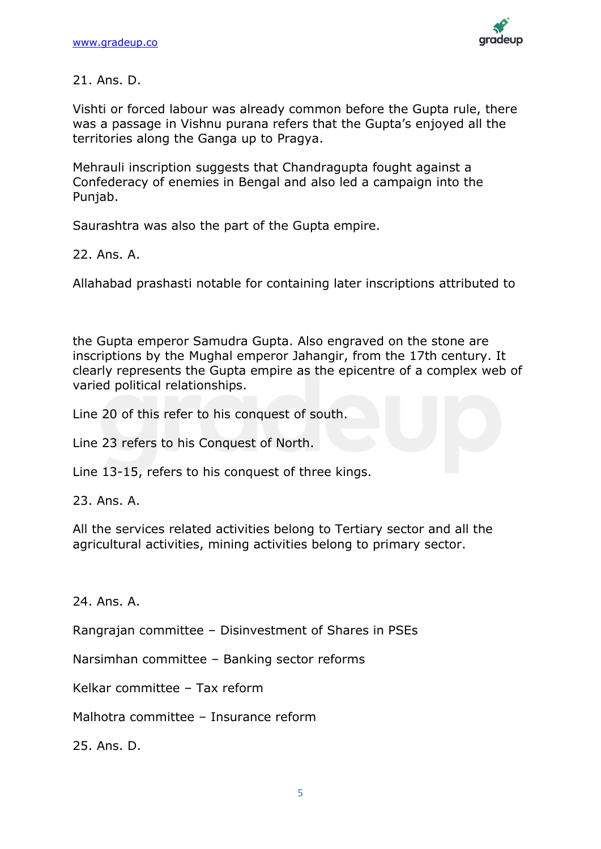

21. Ans. D.

Vishti or forced labour was already common before the Gupta rule, there was a passage in Vishnu purana refers that the Gupta's enjoyed all the territories along the Ganga up to Pragya.

Mehrauli inscription suggests that Chandragupta fought against a Confederacy of enemies in Bengal and also led a campaign into the Punjab.

Saurashtra was also the part of the Gupta empire.

22. Ans. A.

Allahabad prashasti notable for containing later inscriptions attributed to

the Gupta emperor Samudra Gupta. Also engraved on the stone are inscriptions by the Mughal emperor Jahangir, from the 17th century. It clearly represents the Gupta empire as the epicentre of a complex web of varied political relationships.

Line 20 of this refer to his conquest of south.

Line 23 refers to his Conquest of North.

Line 13-15, refers to his conquest of three kings.

23. Ans. A.

All the services related activities belong to Tertiary sector and all the agricultural activities, mining activities belong to primary sector.

24. Ans. A.

Rangrajan committee – Disinvestment of Shares in PSEs

Narsimhan committee – Banking sector reforms

Kelkar committee – Tax reform

Malhotra committee – Insurance reform

25. Ans. D.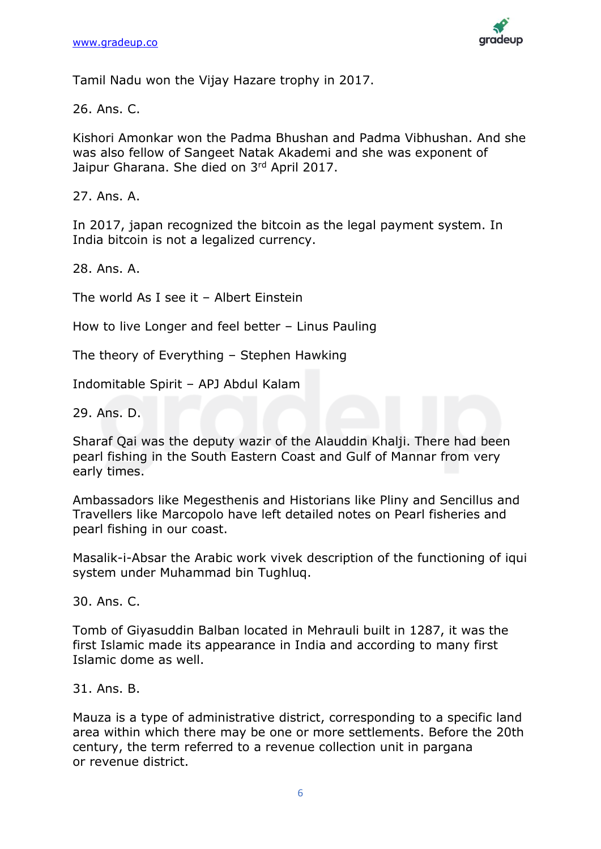

Tamil Nadu won the Vijay Hazare trophy in 2017.

26. Ans. C.

Kishori Amonkar won the Padma Bhushan and Padma Vibhushan. And she was also fellow of Sangeet Natak Akademi and she was exponent of Jaipur Gharana. She died on 3rd April 2017.

27. Ans. A.

In 2017, japan recognized the bitcoin as the legal payment system. In India bitcoin is not a legalized currency.

28. Ans. A.

The world As I see it – Albert Einstein

How to live Longer and feel better – Linus Pauling

The theory of Everything – Stephen Hawking

Indomitable Spirit – APJ Abdul Kalam

29. Ans. D.

Sharaf Qai was the deputy wazir of the Alauddin Khalji. There had been pearl fishing in the South Eastern Coast and Gulf of Mannar from very early times.

Ambassadors like Megesthenis and Historians like Pliny and Sencillus and Travellers like Marcopolo have left detailed notes on Pearl fisheries and pearl fishing in our coast.

Masalik-i-Absar the Arabic work vivek description of the functioning of iqui system under Muhammad bin Tughluq.

30. Ans. C.

Tomb of Giyasuddin Balban located in Mehrauli built in 1287, it was the first Islamic made its appearance in India and according to many first Islamic dome as well.

31. Ans. B.

Mauza is a type of administrative district, corresponding to a specific land area within which there may be one or more settlements. Before the 20th century, the term referred to a revenue collection unit in pargana or revenue district.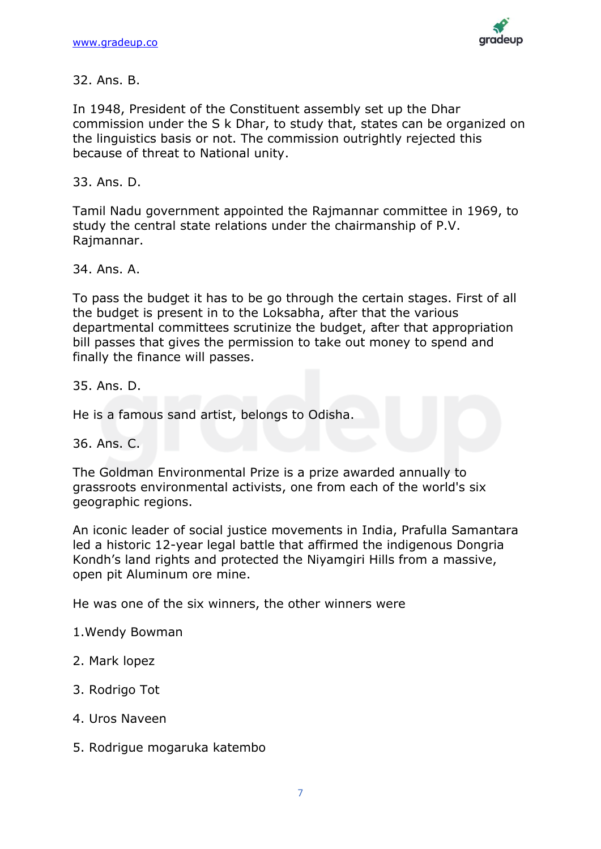

In 1948, President of the Constituent assembly set up the Dhar commission under the S k Dhar, to study that, states can be organized on the linguistics basis or not. The commission outrightly rejected this because of threat to National unity.

33. Ans. D.

Tamil Nadu government appointed the Rajmannar committee in 1969, to study the central state relations under the chairmanship of P.V. Rajmannar.

34. Ans. A.

To pass the budget it has to be go through the certain stages. First of all the budget is present in to the Loksabha, after that the various departmental committees scrutinize the budget, after that appropriation bill passes that gives the permission to take out money to spend and finally the finance will passes.

35. Ans. D.

He is a famous sand artist, belongs to Odisha.

36. Ans. C.

The Goldman Environmental Prize is a prize awarded annually to grassroots environmental activists, one from each of the world's six geographic regions.

An iconic leader of social justice movements in India, Prafulla Samantara led a historic 12-year legal battle that affirmed the indigenous Dongria Kondh's land rights and protected the Niyamgiri Hills from a massive, open pit Aluminum ore mine.

He was one of the six winners, the other winners were

1.Wendy Bowman

- 2. Mark lopez
- 3. Rodrigo Tot
- 4. Uros Naveen
- 5. Rodrigue mogaruka katembo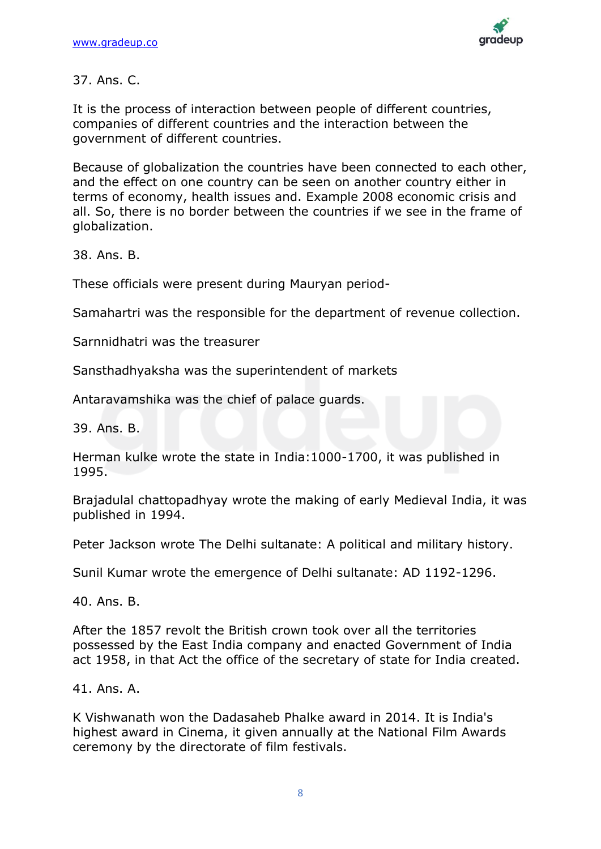

## 37. Ans. C.

It is the process of interaction between people of different countries, companies of different countries and the interaction between the government of different countries.

Because of globalization the countries have been connected to each other, and the effect on one country can be seen on another country either in terms of economy, health issues and. Example 2008 economic crisis and all. So, there is no border between the countries if we see in the frame of globalization.

38. Ans. B.

These officials were present during Mauryan period-

Samahartri was the responsible for the department of revenue collection.

Sarnnidhatri was the treasurer

Sansthadhyaksha was the superintendent of markets

Antaravamshika was the chief of palace guards.

39. Ans. B.

Herman kulke wrote the state in India:1000-1700, it was published in 1995.

Brajadulal chattopadhyay wrote the making of early Medieval India, it was published in 1994.

Peter Jackson wrote The Delhi sultanate: A political and military history.

Sunil Kumar wrote the emergence of Delhi sultanate: AD 1192-1296.

40. Ans. B.

After the 1857 revolt the British crown took over all the territories possessed by the East India company and enacted Government of India act 1958, in that Act the office of the secretary of state for India created.

41. Ans. A.

K Vishwanath won the Dadasaheb Phalke award in 2014. It is India's highest award in Cinema, it given annually at the National Film Awards ceremony by the directorate of film festivals.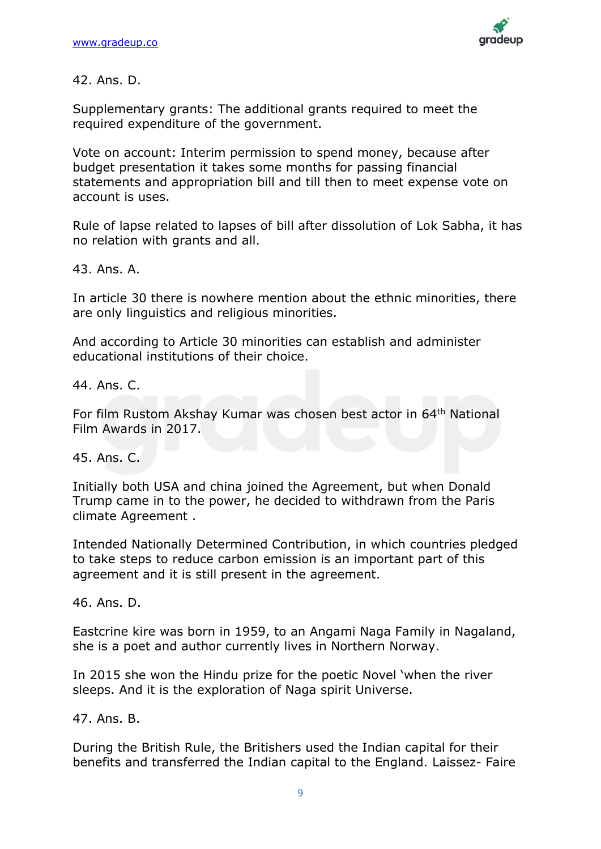

42. Ans. D.

Supplementary grants: The additional grants required to meet the required expenditure of the government.

Vote on account: Interim permission to spend money, because after budget presentation it takes some months for passing financial statements and appropriation bill and till then to meet expense vote on account is uses.

Rule of lapse related to lapses of bill after dissolution of Lok Sabha, it has no relation with grants and all.

43. Ans. A.

In article 30 there is nowhere mention about the ethnic minorities, there are only linguistics and religious minorities.

And according to Article 30 minorities can establish and administer educational institutions of their choice.

44. Ans. C.

For film Rustom Akshay Kumar was chosen best actor in 64th National Film Awards in 2017.

45. Ans. C.

Initially both USA and china joined the Agreement, but when Donald Trump came in to the power, he decided to withdrawn from the Paris climate Agreement .

Intended Nationally Determined Contribution, in which countries pledged to take steps to reduce carbon emission is an important part of this agreement and it is still present in the agreement.

46. Ans. D.

Eastcrine kire was born in 1959, to an Angami Naga Family in Nagaland, she is a poet and author currently lives in Northern Norway.

In 2015 she won the Hindu prize for the poetic Novel 'when the river sleeps. And it is the exploration of Naga spirit Universe.

47. Ans. B.

During the British Rule, the Britishers used the Indian capital for their benefits and transferred the Indian capital to the England. Laissez- Faire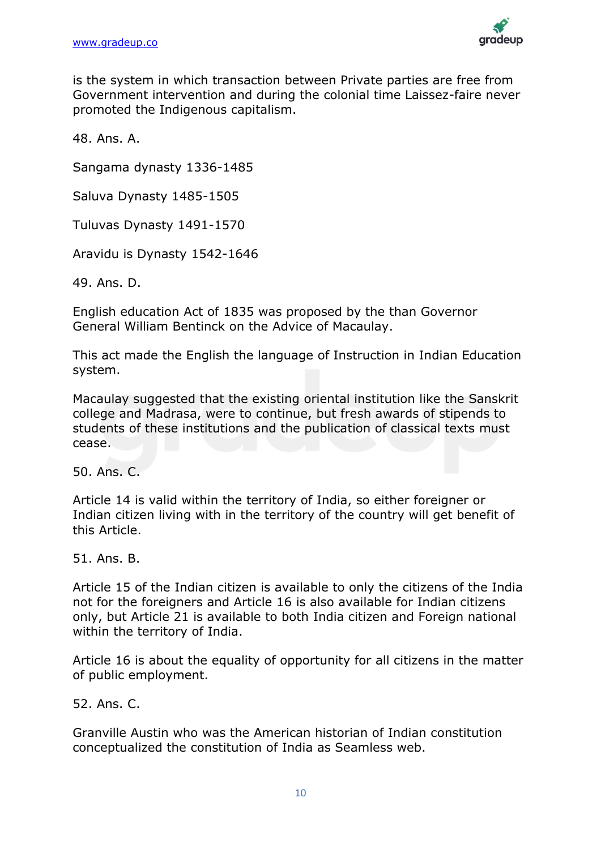

is the system in which transaction between Private parties are free from Government intervention and during the colonial time Laissez-faire never promoted the Indigenous capitalism.

48. Ans. A.

Sangama dynasty 1336-1485

Saluva Dynasty 1485-1505

Tuluvas Dynasty 1491-1570

Aravidu is Dynasty 1542-1646

49. Ans. D.

English education Act of 1835 was proposed by the than Governor General William Bentinck on the Advice of Macaulay.

This act made the English the language of Instruction in Indian Education system.

Macaulay suggested that the existing oriental institution like the Sanskrit college and Madrasa, were to continue, but fresh awards of stipends to students of these institutions and the publication of classical texts must cease.

50. Ans. C.

Article 14 is valid within the territory of India, so either foreigner or Indian citizen living with in the territory of the country will get benefit of this Article.

51. Ans. B.

Article 15 of the Indian citizen is available to only the citizens of the India not for the foreigners and Article 16 is also available for Indian citizens only, but Article 21 is available to both India citizen and Foreign national within the territory of India.

Article 16 is about the equality of opportunity for all citizens in the matter of public employment.

52. Ans. C.

Granville Austin who was the American historian of Indian constitution conceptualized the constitution of India as Seamless web.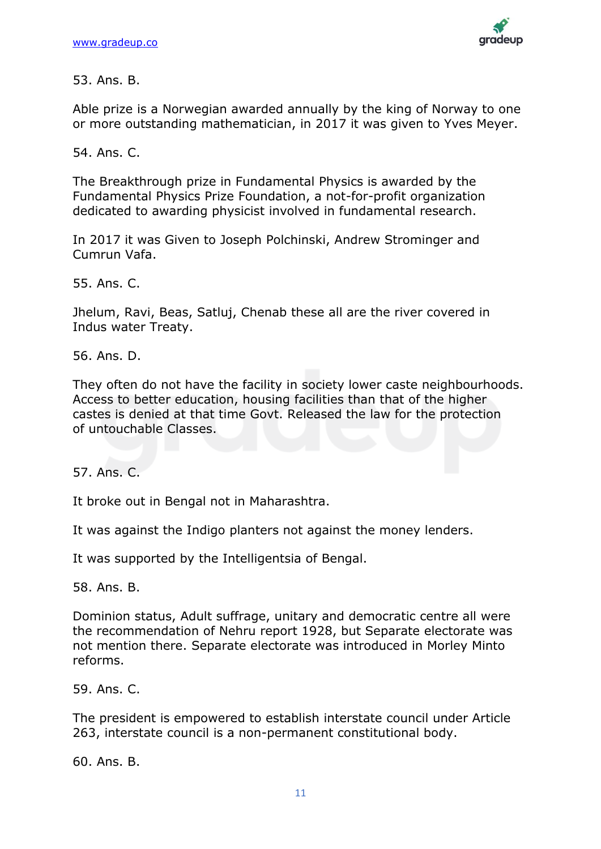

Able prize is a Norwegian awarded annually by the king of Norway to one or more outstanding mathematician, in 2017 it was given to Yves Meyer.

54. Ans. C.

The Breakthrough prize in Fundamental Physics is awarded by the Fundamental Physics Prize Foundation, a not-for-profit organization dedicated to awarding physicist involved in fundamental research.

In 2017 it was Given to Joseph Polchinski, Andrew Strominger and Cumrun Vafa.

55. Ans. C.

Jhelum, Ravi, Beas, Satluj, Chenab these all are the river covered in Indus water Treaty.

56. Ans. D.

They often do not have the facility in society lower caste neighbourhoods. Access to better education, housing facilities than that of the higher castes is denied at that time Govt. Released the law for the protection of untouchable Classes.

57. Ans. C.

It broke out in Bengal not in Maharashtra.

It was against the Indigo planters not against the money lenders.

It was supported by the Intelligentsia of Bengal.

58. Ans. B.

Dominion status, Adult suffrage, unitary and democratic centre all were the recommendation of Nehru report 1928, but Separate electorate was not mention there. Separate electorate was introduced in Morley Minto reforms.

59. Ans. C.

The president is empowered to establish interstate council under Article 263, interstate council is a non-permanent constitutional body.

60. Ans. B.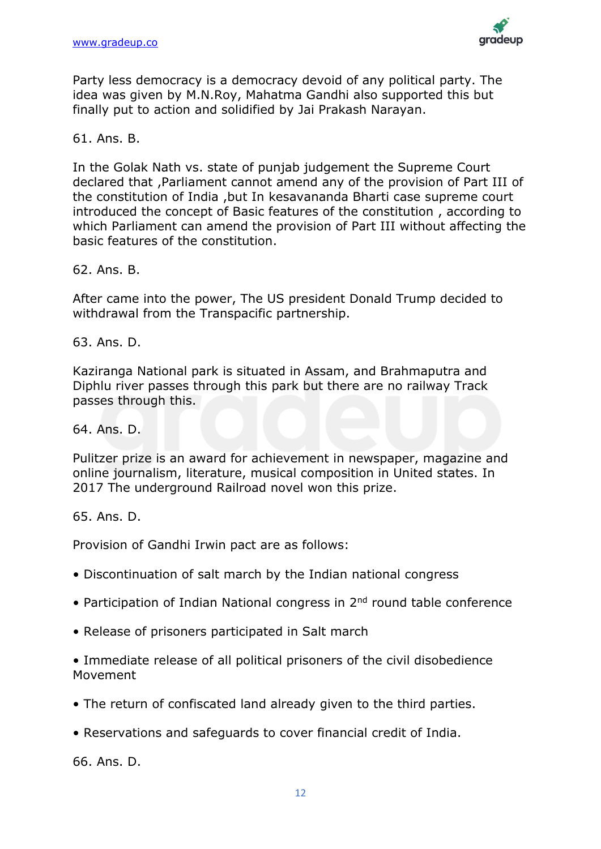

Party less democracy is a democracy devoid of any political party. The idea was given by M.N.Roy, Mahatma Gandhi also supported this but finally put to action and solidified by Jai Prakash Narayan.

### 61. Ans. B.

In the Golak Nath vs. state of punjab judgement the Supreme Court declared that ,Parliament cannot amend any of the provision of Part III of the constitution of India ,but In kesavananda Bharti case supreme court introduced the concept of Basic features of the constitution , according to which Parliament can amend the provision of Part III without affecting the basic features of the constitution.

62. Ans. B.

After came into the power, The US president Donald Trump decided to withdrawal from the Transpacific partnership.

63. Ans. D.

Kaziranga National park is situated in Assam, and Brahmaputra and Diphlu river passes through this park but there are no railway Track passes through this.

64. Ans. D.

Pulitzer prize is an award for achievement in newspaper, magazine and online journalism, literature, musical composition in United states. In 2017 The underground Railroad novel won this prize.

65. Ans. D.

Provision of Gandhi Irwin pact are as follows:

- Discontinuation of salt march by the Indian national congress
- Participation of Indian National congress in 2<sup>nd</sup> round table conference
- Release of prisoners participated in Salt march

• Immediate release of all political prisoners of the civil disobedience Movement

- The return of confiscated land already given to the third parties.
- Reservations and safeguards to cover financial credit of India.

66. Ans. D.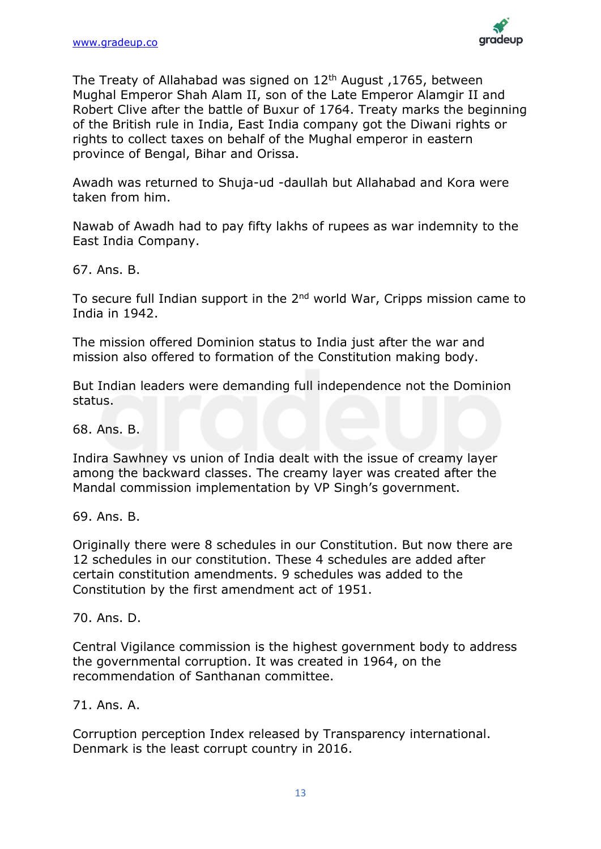

The Treaty of Allahabad was signed on  $12<sup>th</sup>$  August, 1765, between Mughal Emperor Shah Alam II, son of the Late Emperor Alamgir II and Robert Clive after the battle of Buxur of 1764. Treaty marks the beginning of the British rule in India, East India company got the Diwani rights or rights to collect taxes on behalf of the Mughal emperor in eastern province of Bengal, Bihar and Orissa.

Awadh was returned to Shuja-ud -daullah but Allahabad and Kora were taken from him.

Nawab of Awadh had to pay fifty lakhs of rupees as war indemnity to the East India Company.

67. Ans. B.

To secure full Indian support in the 2<sup>nd</sup> world War, Cripps mission came to India in 1942.

The mission offered Dominion status to India just after the war and mission also offered to formation of the Constitution making body.

But Indian leaders were demanding full independence not the Dominion status.

68. Ans. B.

Indira Sawhney vs union of India dealt with the issue of creamy layer among the backward classes. The creamy layer was created after the Mandal commission implementation by VP Singh's government.

69. Ans. B.

Originally there were 8 schedules in our Constitution. But now there are 12 schedules in our constitution. These 4 schedules are added after certain constitution amendments. 9 schedules was added to the Constitution by the first amendment act of 1951.

70. Ans. D.

Central Vigilance commission is the highest government body to address the governmental corruption. It was created in 1964, on the recommendation of Santhanan committee.

#### 71. Ans. A.

Corruption perception Index released by Transparency international. Denmark is the least corrupt country in 2016.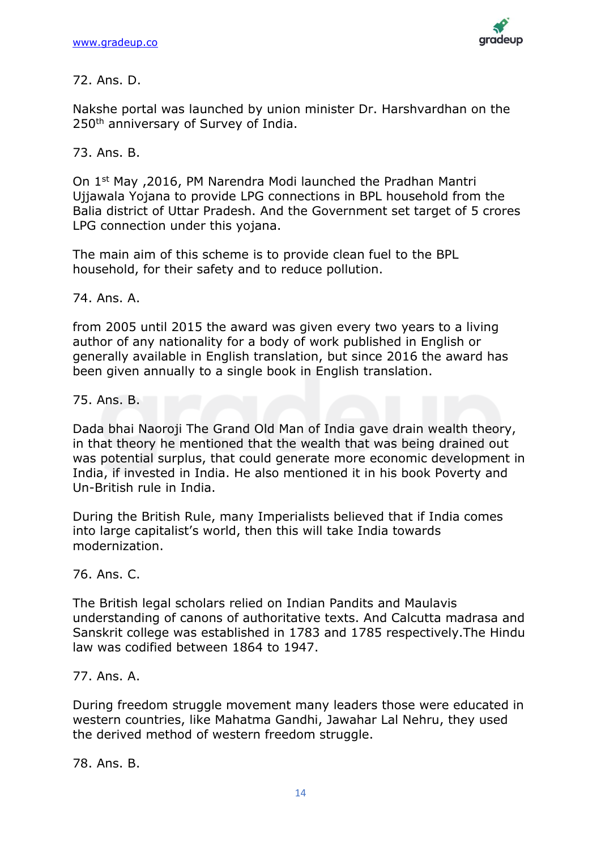

## 72. Ans. D.

Nakshe portal was launched by union minister Dr. Harshvardhan on the 250<sup>th</sup> anniversary of Survey of India.

# 73. Ans. B.

On 1st May ,2016, PM Narendra Modi launched the Pradhan Mantri Ujjawala Yojana to provide LPG connections in BPL household from the Balia district of Uttar Pradesh. And the Government set target of 5 crores LPG connection under this yojana.

The main aim of this scheme is to provide clean fuel to the BPL household, for their safety and to reduce pollution.

## 74. Ans. A.

from 2005 until 2015 the award was given every two years to a living author of any nationality for a body of work published in English or generally available in English translation, but since 2016 the award has been given annually to a single book in English translation.

75. Ans. B.

Dada bhai Naoroji The Grand Old Man of India gave drain wealth theory, in that theory he mentioned that the wealth that was being drained out was potential surplus, that could generate more economic development in India, if invested in India. He also mentioned it in his book Poverty and Un-British rule in India.

During the British Rule, many Imperialists believed that if India comes into large capitalist's world, then this will take India towards modernization.

# 76. Ans. C.

The British legal scholars relied on Indian Pandits and Maulavis understanding of canons of authoritative texts. And Calcutta madrasa and Sanskrit college was established in 1783 and 1785 respectively.The Hindu law was codified between 1864 to 1947.

## 77. Ans. A.

During freedom struggle movement many leaders those were educated in western countries, like Mahatma Gandhi, Jawahar Lal Nehru, they used the derived method of western freedom struggle.

78. Ans. B.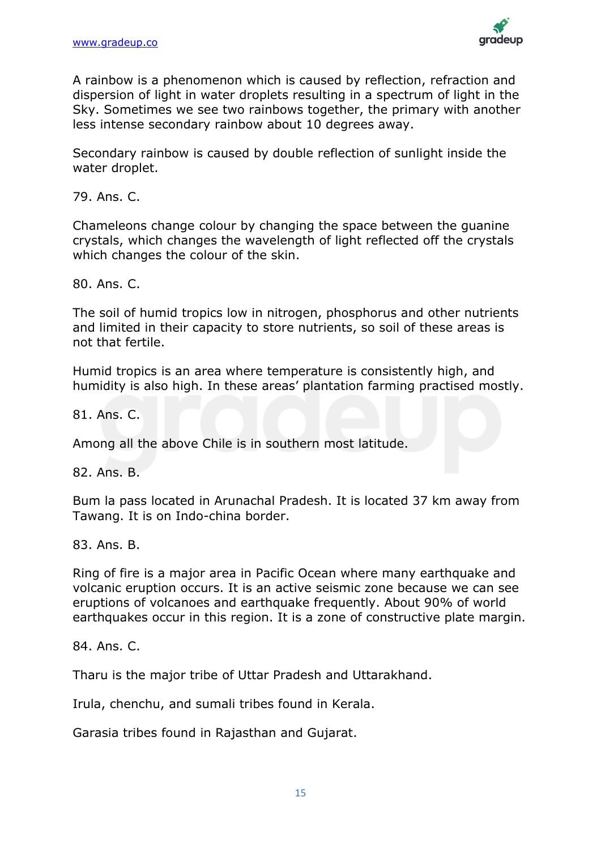

A rainbow is a phenomenon which is caused by reflection, refraction and dispersion of light in water droplets resulting in a spectrum of light in the Sky. Sometimes we see two rainbows together, the primary with another less intense secondary rainbow about 10 degrees away.

Secondary rainbow is caused by double reflection of sunlight inside the water droplet.

79. Ans. C.

Chameleons change colour by changing the space between the guanine crystals, which changes the wavelength of light reflected off the crystals which changes the colour of the skin.

80. Ans. C.

The soil of humid tropics low in nitrogen, phosphorus and other nutrients and limited in their capacity to store nutrients, so soil of these areas is not that fertile.

Humid tropics is an area where temperature is consistently high, and humidity is also high. In these areas' plantation farming practised mostly.

81. Ans. C.

Among all the above Chile is in southern most latitude.

82. Ans. B.

Bum la pass located in Arunachal Pradesh. It is located 37 km away from Tawang. It is on Indo-china border.

83. Ans. B.

Ring of fire is a major area in Pacific Ocean where many earthquake and volcanic eruption occurs. It is an active seismic zone because we can see eruptions of volcanoes and earthquake frequently. About 90% of world earthquakes occur in this region. It is a zone of constructive plate margin.

84. Ans. C.

Tharu is the major tribe of Uttar Pradesh and Uttarakhand.

Irula, chenchu, and sumali tribes found in Kerala.

Garasia tribes found in Rajasthan and Gujarat.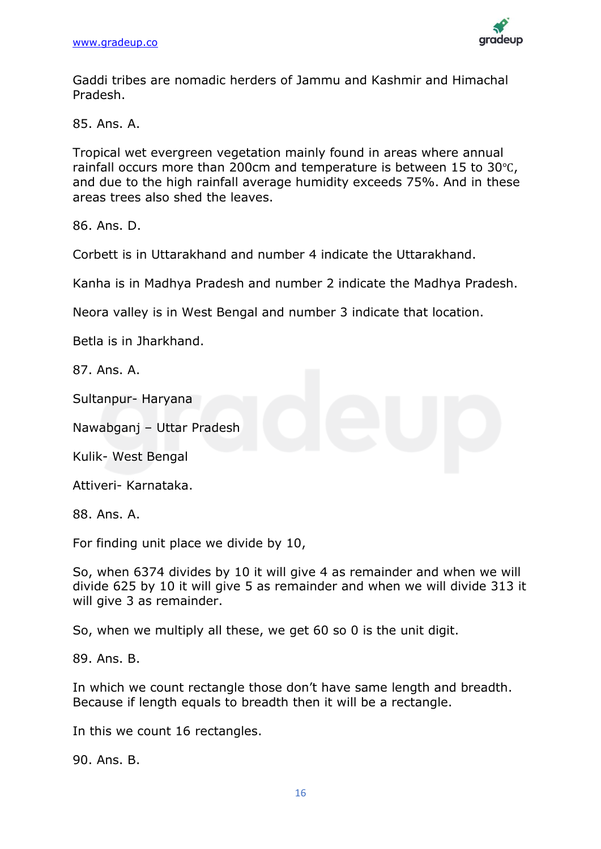

Gaddi tribes are nomadic herders of Jammu and Kashmir and Himachal Pradesh.

85. Ans. A.

Tropical wet evergreen vegetation mainly found in areas where annual rainfall occurs more than 200cm and temperature is between 15 to 30℃, and due to the high rainfall average humidity exceeds 75%. And in these areas trees also shed the leaves.

86. Ans. D.

Corbett is in Uttarakhand and number 4 indicate the Uttarakhand.

Kanha is in Madhya Pradesh and number 2 indicate the Madhya Pradesh.

Neora valley is in West Bengal and number 3 indicate that location.

Betla is in Jharkhand.

87. Ans. A.

Sultanpur- Haryana

Nawabganj – Uttar Pradesh

Kulik- West Bengal

Attiveri- Karnataka.

88. Ans. A.

For finding unit place we divide by 10,

So, when 6374 divides by 10 it will give 4 as remainder and when we will divide 625 by 10 it will give 5 as remainder and when we will divide 313 it will give 3 as remainder.

So, when we multiply all these, we get 60 so 0 is the unit digit.

89. Ans. B.

In which we count rectangle those don't have same length and breadth. Because if length equals to breadth then it will be a rectangle.

In this we count 16 rectangles.

90. Ans. B.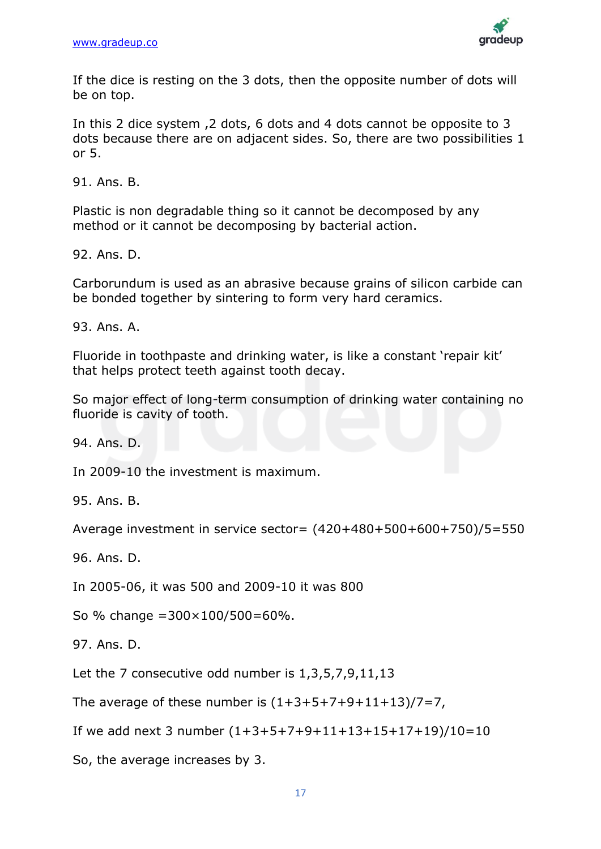

If the dice is resting on the 3 dots, then the opposite number of dots will be on top.

In this 2 dice system ,2 dots, 6 dots and 4 dots cannot be opposite to 3 dots because there are on adjacent sides. So, there are two possibilities 1 or 5.

91. Ans. B.

Plastic is non degradable thing so it cannot be decomposed by any method or it cannot be decomposing by bacterial action.

92. Ans. D.

Carborundum is used as an abrasive because grains of silicon carbide can be bonded together by sintering to form very hard ceramics.

93. Ans. A.

Fluoride in toothpaste and drinking water, is like a constant 'repair kit' that helps protect teeth against tooth decay.

So major effect of long-term consumption of drinking water containing no fluoride is cavity of tooth.

94. Ans. D.

In 2009-10 the investment is maximum.

95. Ans. B.

Average investment in service sector= (420+480+500+600+750)/5=550

96. Ans. D.

In 2005-06, it was 500 and 2009-10 it was 800

So % change = $300 \times 100 / 500 = 60$ %.

97. Ans. D.

Let the 7 consecutive odd number is 1,3,5,7,9,11,13

The average of these number is  $(1+3+5+7+9+11+13)/7=7$ ,

If we add next 3 number  $(1+3+5+7+9+11+13+15+17+19)/10=10$ 

So, the average increases by 3.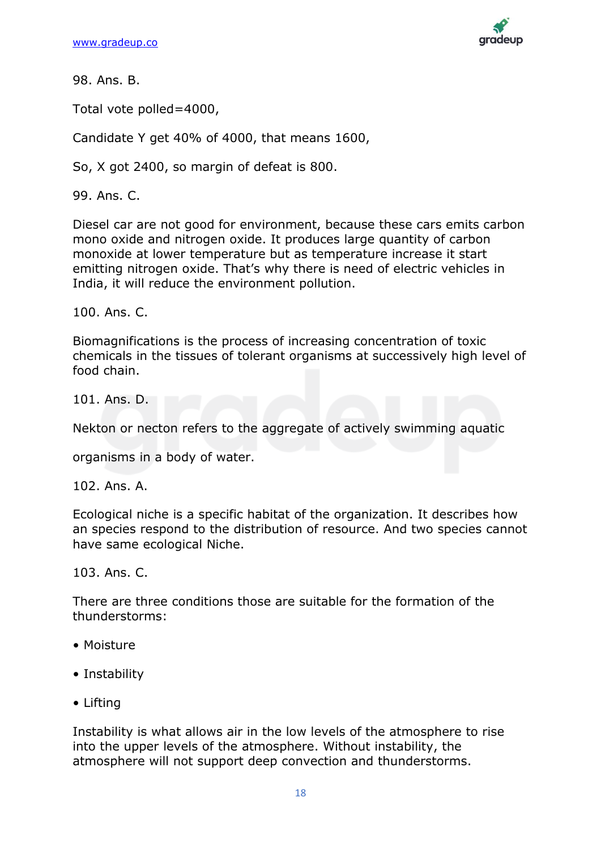

Total vote polled=4000,

Candidate Y get 40% of 4000, that means 1600,

So, X got 2400, so margin of defeat is 800.

99. Ans. C.

Diesel car are not good for environment, because these cars emits carbon mono oxide and nitrogen oxide. It produces large quantity of carbon monoxide at lower temperature but as temperature increase it start emitting nitrogen oxide. That's why there is need of electric vehicles in India, it will reduce the environment pollution.

100. Ans. C.

Biomagnifications is the process of increasing concentration of toxic chemicals in the tissues of tolerant organisms at successively high level of food chain.

101. Ans. D.

Nekton or necton refers to the aggregate of actively swimming aquatic

organisms in a body of water.

102. Ans. A.

Ecological niche is a specific habitat of the organization. It describes how an species respond to the distribution of resource. And two species cannot have same ecological Niche.

103. Ans. C.

There are three conditions those are suitable for the formation of the thunderstorms:

- Moisture
- Instability
- Lifting

Instability is what allows air in the low levels of the atmosphere to rise into the upper levels of the atmosphere. Without instability, the atmosphere will not support deep convection and thunderstorms.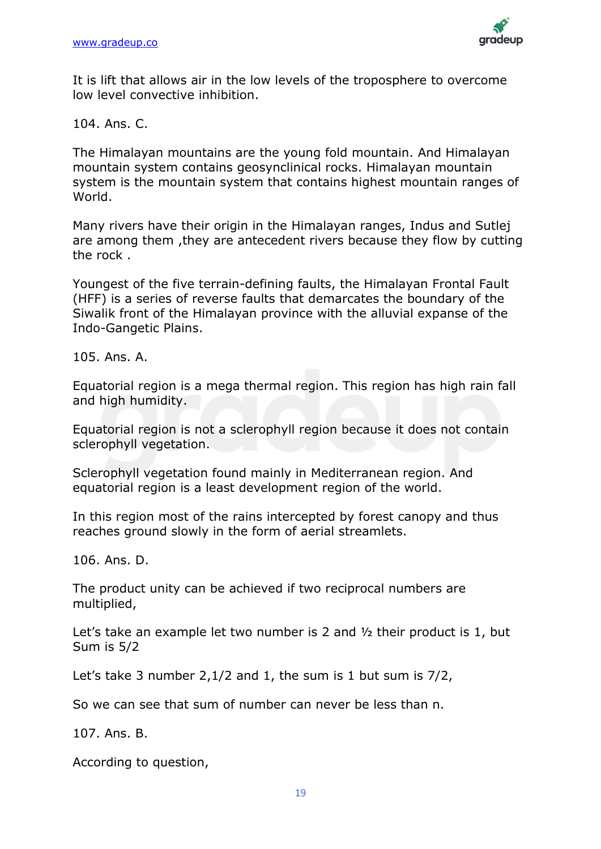

It is lift that allows air in the low levels of the troposphere to overcome low level convective inhibition.

104. Ans. C.

The Himalayan mountains are the young fold mountain. And Himalayan mountain system contains geosynclinical rocks. Himalayan mountain system is the mountain system that contains highest mountain ranges of World.

Many rivers have their origin in the Himalayan ranges, Indus and Sutlej are among them ,they are antecedent rivers because they flow by cutting the rock .

Youngest of the five terrain-defining faults, the Himalayan Frontal Fault (HFF) is a series of reverse faults that demarcates the boundary of the Siwalik front of the Himalayan province with the alluvial expanse of the Indo-Gangetic Plains.

105. Ans. A.

Equatorial region is a mega thermal region. This region has high rain fall and high humidity.

Equatorial region is not a sclerophyll region because it does not contain sclerophyll vegetation.

Sclerophyll vegetation found mainly in Mediterranean region. And equatorial region is a least development region of the world.

In this region most of the rains intercepted by forest canopy and thus reaches ground slowly in the form of aerial streamlets.

106. Ans. D.

The product unity can be achieved if two reciprocal numbers are multiplied,

Let's take an example let two number is 2 and ½ their product is 1, but Sum is 5/2

Let's take 3 number 2,1/2 and 1, the sum is 1 but sum is 7/2,

So we can see that sum of number can never be less than n.

107. Ans. B.

According to question,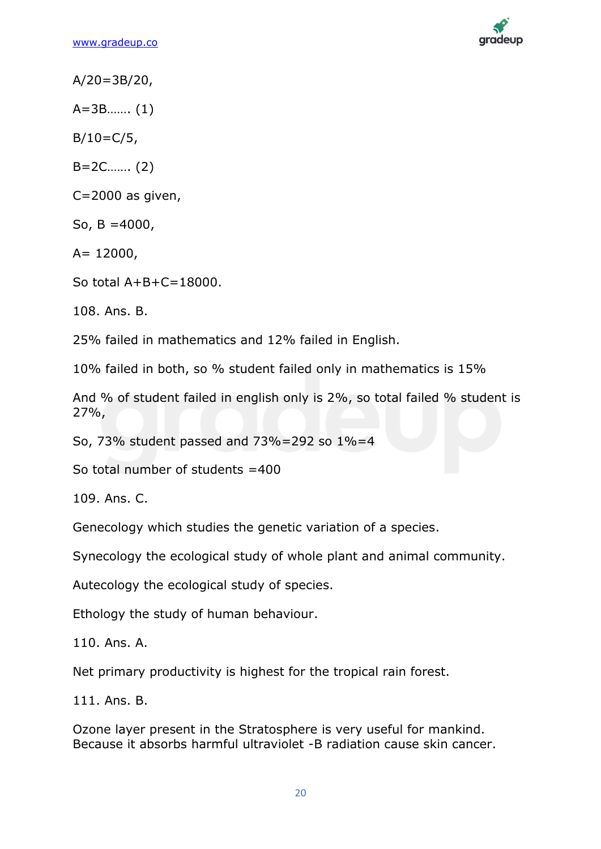

 $A/20 = 3B/20$ ,

A=3B……. (1)

 $B/10=C/5$ ,

B=2C……. (2)

C=2000 as given,

So,  $B = 4000$ ,

 $A= 12000,$ 

So total A+B+C=18000.

108. Ans. B.

25% failed in mathematics and 12% failed in English.

10% failed in both, so % student failed only in mathematics is 15%

And % of student failed in english only is 2%, so total failed % student is 27%,

So, 73% student passed and 73%=292 so 1%=4

So total number of students =400

109. Ans. C.

Genecology which studies the genetic variation of a species.

Synecology the ecological study of whole plant and animal community.

Autecology the ecological study of species.

Ethology the study of human behaviour.

110. Ans. A.

Net primary productivity is highest for the tropical rain forest.

111. Ans. B.

Ozone layer present in the Stratosphere is very useful for mankind. Because it absorbs harmful ultraviolet -B radiation cause skin cancer.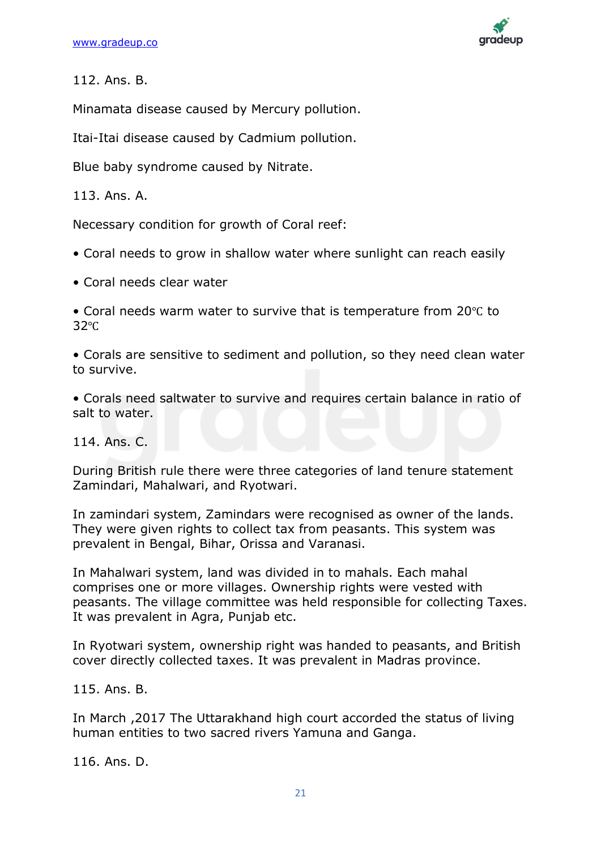

Minamata disease caused by Mercury pollution.

Itai-Itai disease caused by Cadmium pollution.

Blue baby syndrome caused by Nitrate.

113. Ans. A.

Necessary condition for growth of Coral reef:

- Coral needs to grow in shallow water where sunlight can reach easily
- Coral needs clear water

• Coral needs warm water to survive that is temperature from 20℃ to 32℃

• Corals are sensitive to sediment and pollution, so they need clean water to survive.

• Corals need saltwater to survive and requires certain balance in ratio of salt to water.

114. Ans. C.

During British rule there were three categories of land tenure statement Zamindari, Mahalwari, and Ryotwari.

In zamindari system, Zamindars were recognised as owner of the lands. They were given rights to collect tax from peasants. This system was prevalent in Bengal, Bihar, Orissa and Varanasi.

In Mahalwari system, land was divided in to mahals. Each mahal comprises one or more villages. Ownership rights were vested with peasants. The village committee was held responsible for collecting Taxes. It was prevalent in Agra, Punjab etc.

In Ryotwari system, ownership right was handed to peasants, and British cover directly collected taxes. It was prevalent in Madras province.

115. Ans. B.

In March ,2017 The Uttarakhand high court accorded the status of living human entities to two sacred rivers Yamuna and Ganga.

116. Ans. D.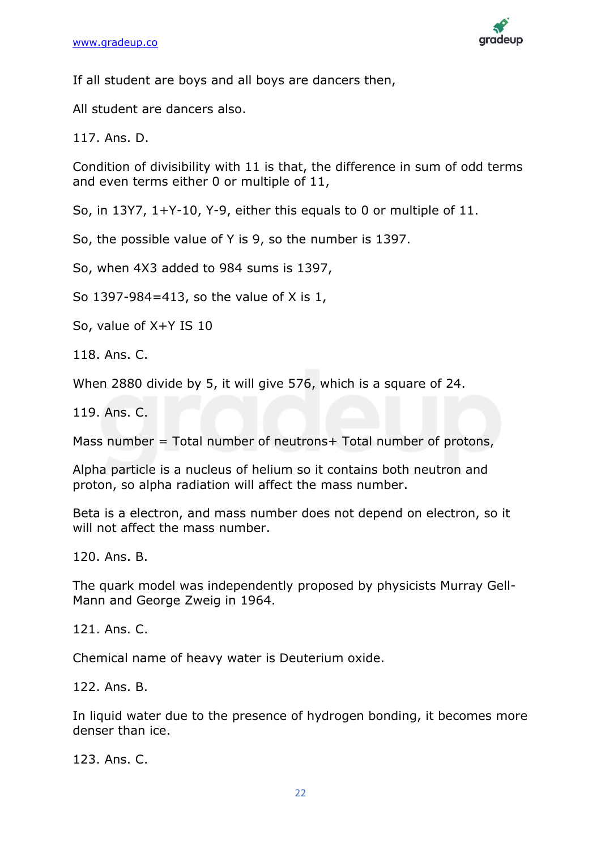

If all student are boys and all boys are dancers then,

All student are dancers also.

117. Ans. D.

Condition of divisibility with 11 is that, the difference in sum of odd terms and even terms either 0 or multiple of 11,

So, in 13Y7, 1+Y-10, Y-9, either this equals to 0 or multiple of 11.

So, the possible value of Y is 9, so the number is 1397.

So, when 4X3 added to 984 sums is 1397,

So 1397-984=413, so the value of X is 1,

So, value of X+Y IS 10

118. Ans. C.

When 2880 divide by 5, it will give 576, which is a square of 24.

119. Ans. C.

Mass number = Total number of neutrons+ Total number of protons,

Alpha particle is a nucleus of helium so it contains both neutron and proton, so alpha radiation will affect the mass number.

Beta is a electron, and mass number does not depend on electron, so it will not affect the mass number.

120. Ans. B.

The quark model was independently proposed by physicists Murray Gell-Mann and George Zweig in 1964.

121. Ans. C.

Chemical name of heavy water is Deuterium oxide.

122. Ans. B.

In liquid water due to the presence of hydrogen bonding, it becomes more denser than ice.

123. Ans. C.